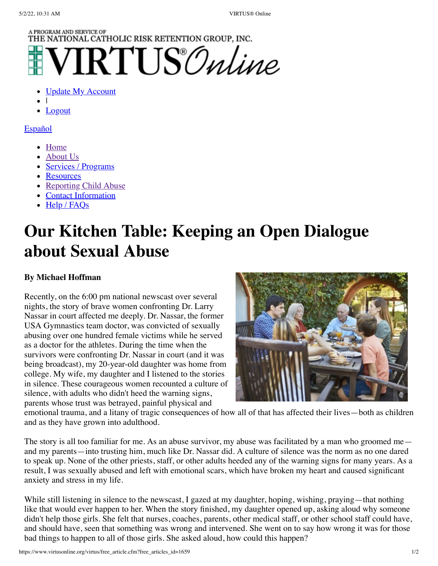### A PROGRAM AND SERVICE OF THE NATIONAL CATHOLIC RISK RETENTION GROUP, INC.  $\operatorname{RTUS}\!\mathcal{O}$ nline

### **[Update My Account](https://www.virtusonline.org/virtus/update_account.cfm?rt_blnk=1)**

- |
- [Logout](https://www.virtusonline.org/logout.cfm)

### **[Español](https://www.virtusonline.org/virtus/espaniol.cfm?theme=0)**

- [Home](https://www.virtusonline.org/virtus/)
- [About Us](https://www.virtusonline.org/virtus/virtus_description.cfm)
- [Services / Programs](https://www.virtusonline.org/virtus/productsandservices.cfm)
- [Resources](https://www.virtusonline.org/virtus/virtus_resources.cfm)
- [Reporting Child Abuse](https://www.virtusonline.org/virtus/Abuse_Reporting.cfm)
- [Contact Information](https://www.virtusonline.org/virtus/virtus_contact.cfm)
- $\bullet$  [Help / FAQs](https://www.virtusonline.org/virtus/virtus_help_faq.cfm)

## **Our Kitchen Table: Keeping an Open Dialogue about Sexual Abuse**

### **By Michael Hoffman**

Recently, on the 6:00 pm national newscast over several nights, the story of brave women confronting Dr. Larry Nassar in court affected me deeply. Dr. Nassar, the former USA Gymnastics team doctor, was convicted of sexually abusing over one hundred female victims while he served as a doctor for the athletes. During the time when the survivors were confronting Dr. Nassar in court (and it was being broadcast), my 20-year-old daughter was home from college. My wife, my daughter and I listened to the stories in silence. These courageous women recounted a culture of silence, with adults who didn't heed the warning signs, parents whose trust was betrayed, painful physical and



emotional trauma, and a litany of tragic consequences of how all of that has affected their lives—both as children and as they have grown into adulthood.

The story is all too familiar for me. As an abuse survivor, my abuse was facilitated by a man who groomed me and my parents—into trusting him, much like Dr. Nassar did. A culture of silence was the norm as no one dared to speak up. None of the other priests, staff, or other adults heeded any of the warning signs for many years. As a result, I was sexually abused and left with emotional scars, which have broken my heart and caused significant anxiety and stress in my life.

While still listening in silence to the newscast, I gazed at my daughter, hoping, wishing, praying—that nothing like that would ever happen to her. When the story finished, my daughter opened up, asking aloud why someone didn't help those girls. She felt that nurses, coaches, parents, other medical staff, or other school staff could have, and should have, seen that something was wrong and intervened. She went on to say how wrong it was for those bad things to happen to all of those girls. She asked aloud, how could this happen?